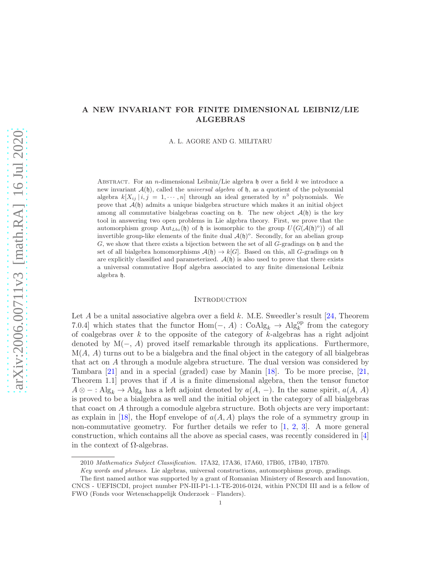# A NEW INVARIANT FOR FINITE DIMENSIONAL LEIBNIZ/LIE ALGEBRAS

A. L. AGORE AND G. MILITARU

ABSTRACT. For an *n*-dimensional Leibniz/Lie algebra h over a field k we introduce a new invariant  $\mathcal{A}(\mathfrak{h})$ , called the *universal algebra* of  $\mathfrak{h}$ , as a quotient of the polynomial algebra  $k[X_{ij} | i, j = 1, \dots, n]$  through an ideal generated by  $n^3$  polynomials. We prove that  $\mathcal{A}(\mathfrak{h})$  admits a unique bialgebra structure which makes it an initial object among all commutative bialgebras coacting on  $\mathfrak{h}$ . The new object  $\mathcal{A}(\mathfrak{h})$  is the key tool in answering two open problems in Lie algebra theory. First, we prove that the automorphism group  $\text{Aut}_{Lbz}(\mathfrak{h})$  of  $\mathfrak{h}$  is isomorphic to the group  $U(G(\mathcal{A}(\mathfrak{h})^{\circ}))$  of all invertible group-like elements of the finite dual  $\mathcal{A}(\mathfrak{h})^{\circ}$ . Secondly, for an abelian group  $G$ , we show that there exists a bijection between the set of all  $G$ -gradings on h and the set of all bialgebra homomorphisms  $\mathcal{A}(\mathfrak{h}) \to k[G]$ . Based on this, all G-gradings on  $\mathfrak{h}$ are explicitly classified and parameterized.  $\mathcal{A}(\mathfrak{h})$  is also used to prove that there exists a universal commutative Hopf algebra associated to any finite dimensional Leibniz algebra h.

#### **INTRODUCTION**

Let  $A$  be a unital associative algebra over a field  $k$ . M.E. Sweedler's result [\[24,](#page-17-0) Theorem 7.0.4] which states that the functor  $Hom(-, A) : \text{CoAlg}_k \to \text{Alg}_k^{\text{op}}$  from the category of coalgebras over  $k$  to the opposite of the category of  $k$ -algebras has a right adjoint denoted by  $M(-, A)$  proved itself remarkable through its applications. Furthermore,  $M(A, A)$  turns out to be a bialgebra and the final object in the category of all bialgebras that act on A through a module algebra structure. The dual version was considered by Tambara [\[21\]](#page-17-1) and in a special (graded) case by Manin [\[18\]](#page-17-2). To be more precise, [\[21,](#page-17-1) Theorem 1.1 proves that if A is a finite dimensional algebra, then the tensor functor  $A \otimes - : \text{Alg}_k \to \text{Alg}_k$  has a left adjoint denoted by  $a(A, -)$ . In the same spirit,  $a(A, A)$ is proved to be a bialgebra as well and the initial object in the category of all bialgebras that coact on A through a comodule algebra structure. Both objects are very important: as explain in [\[18\]](#page-17-2), the Hopf envelope of  $a(A, A)$  plays the role of a symmetry group in non-commutative geometry. For further details we refer to [\[1,](#page-16-0) [2,](#page-16-1) [3\]](#page-16-2). A more general construction, which contains all the above as special cases, was recently considered in [\[4\]](#page-16-3) in the context of  $\Omega$ -algebras.

<sup>2010</sup> Mathematics Subject Classification. 17A32, 17A36, 17A60, 17B05, 17B40, 17B70.

Key words and phrases. Lie algebras, universal constructions, automorphisms group, gradings.

The first named author was supported by a grant of Romanian Ministery of Research and Innovation, CNCS - UEFISCDI, project number PN-III-P1-1.1-TE-2016-0124, within PNCDI III and is a fellow of FWO (Fonds voor Wetenschappelijk Onderzoek – Flanders).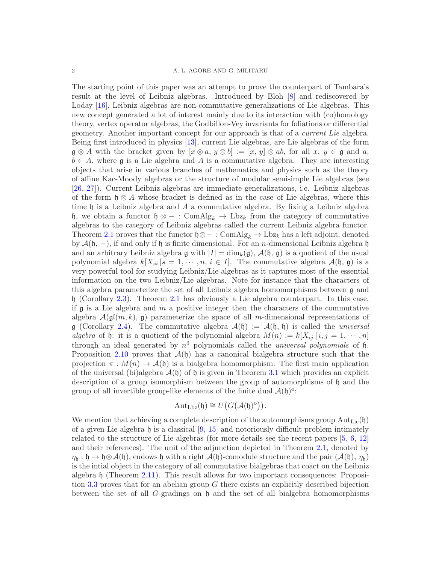The starting point of this paper was an attempt to prove the counterpart of Tambara's result at the level of Leibniz algebras. Introduced by Bloh [\[8\]](#page-16-4) and rediscovered by Loday [\[16\]](#page-17-3), Leibniz algebras are non-commutative generalizations of Lie algebras. This new concept generated a lot of interest mainly due to its interaction with (co)homology theory, vertex operator algebras, the Godbillon-Vey invariants for foliations or differential geometry. Another important concept for our approach is that of a current Lie algebra. Being first introduced in physics [\[13\]](#page-17-4), current Lie algebras, are Lie algebras of the form  $\mathfrak{g} \otimes A$  with the bracket given by  $[x \otimes a, y \otimes b] := [x, y] \otimes ab$ , for all  $x, y \in \mathfrak{g}$  and  $a$ ,  $b \in A$ , where g is a Lie algebra and A is a commutative algebra. They are interesting objects that arise in various branches of mathematics and physics such as the theory of affine Kac-Moody algebras or the structure of modular semisimple Lie algebras (see [\[26,](#page-17-5) [27\]](#page-17-6)). Current Leibniz algebras are immediate generalizations, i.e. Leibniz algebras of the form  $\mathfrak{h} \otimes A$  whose bracket is defined as in the case of Lie algebras, where this time  $\mathfrak h$  is a Leibniz algebra and A a commutative algebra. By fixing a Leibniz algebra h, we obtain a functor h ⊗ − : ComAlg<sub>k</sub>  $\rightarrow$  Lbz<sub>k</sub> from the category of commutative algebras to the category of Leibniz algebras called the current Leibniz algebra functor. Theorem [2.1](#page-3-0) proves that the functor  $\mathfrak{h} \otimes - : \text{ComAlg}_k \to \text{Lbz}_k$  has a left adjoint, denoted by  $\mathcal{A}(\mathfrak{h}, -)$ , if and only if  $\mathfrak{h}$  is finite dimensional. For an *n*-dimensional Leibniz algebra  $\mathfrak{h}$ and an arbitrary Leibniz algebra g with  $|I| = \dim_k(\mathfrak{g})$ ,  $\mathcal{A}(\mathfrak{h}, \mathfrak{g})$  is a quotient of the usual polynomial algebra  $k[X_{si} | s = 1, \dots, n, i \in I]$ . The commutative algebra  $\mathcal{A}(\mathfrak{h}, \mathfrak{g})$  is a very powerful tool for studying Leibniz/Lie algebras as it captures most of the essential information on the two Leibniz/Lie algebras. Note for instance that the characters of this algebra parameterize the set of all Leibniz algebra homomorphisms between g and h (Corollary [2.3\)](#page-6-0). Theorem [2.1](#page-3-0) has obviously a Lie algebra counterpart. In this case, if  $\mathfrak g$  is a Lie algebra and m a positive integer then the characters of the commutative algebra  $\mathcal{A}(\mathfrak{gl}(m,k), \mathfrak{g})$  parameterize the space of all m-dimensional representations of  $\mathfrak{g}$  (Corollary [2.4\)](#page-6-1). The commutative algebra  $\mathcal{A}(\mathfrak{h}) := \mathcal{A}(\mathfrak{h}, \mathfrak{h})$  is called the *universal* algebra of h: it is a quotient of the polynomial algebra  $M(n) := k[X_{ij} | i, j = 1, \dots, n]$ through an ideal generated by  $n^3$  polynomials called the *universal polynomials* of  $\mathfrak{h}$ . Proposition [2.10](#page-8-0) proves that  $\mathcal{A}(\mathfrak{h})$  has a canonical bialgebra structure such that the projection  $\pi : M(n) \to \mathcal{A}(\mathfrak{h})$  is a bialgebra homomorphism. The first main application of the universal (bi)algebra  $\mathcal{A}(\mathfrak{h})$  of  $\mathfrak{h}$  is given in Theorem [3.1](#page-12-0) which provides an explicit description of a group isomorphism between the group of automorphisms of h and the group of all invertible group-like elements of the finite dual  $\mathcal{A}(\mathfrak{h})^{\circ}$ :

$$
\operatorname{Aut}_{\operatorname{Lbz}}(\mathfrak{h})\cong U\big(G\big(\mathcal{A}(\mathfrak{h})^o\big)\big).
$$

We mention that achieving a complete description of the automorphisms group  $Aut_{Lie}(\mathfrak{h})$ of a given Lie algebra  $\mathfrak h$  is a classical [\[9,](#page-16-5) [15\]](#page-17-7) and notoriously difficult problem intimately related to the structure of Lie algebras (for more details see the recent papers [\[5,](#page-16-6) [6,](#page-16-7) [12\]](#page-17-8) and their references). The unit of the adjunction depicted in Theorem [2.1,](#page-3-0) denoted by  $\eta_{h}: \mathfrak{h} \to \mathfrak{h} \otimes \mathcal{A}(\mathfrak{h})$ , endows  $\mathfrak{h}$  with a right  $\mathcal{A}(\mathfrak{h})$ -comodule structure and the pair  $(\mathcal{A}(\mathfrak{h}), \eta_{\mathfrak{h}})$ is the intial object in the category of all commutative bialgebras that coact on the Leibniz algebra h (Theorem [2.11\)](#page-10-0). This result allows for two important consequences: Proposi-tion [3.3](#page-13-0) proves that for an abelian group  $G$  there exists an explicitly described bijection between the set of all G-gradings on h and the set of all bialgebra homomorphisms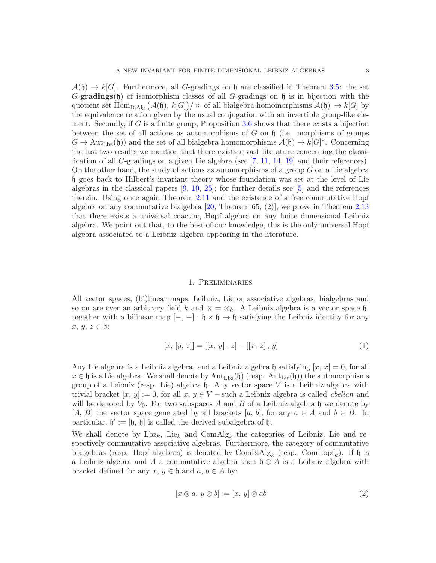$\mathcal{A}(\mathfrak{h}) \to k[G]$ . Furthermore, all G-gradings on  $\mathfrak{h}$  are classified in Theorem [3.5:](#page-14-0) the set  $G$ -gradings(h) of isomorphism classes of all  $G$ -gradings on h is in bijection with the quotient set  $\text{Hom}_{\text{BiAlg}}(\mathcal{A}(\mathfrak{h}), k[G]) / \approx \text{of all bialgebra homomorphisms } \mathcal{A}(\mathfrak{h}) \to k[G]$  by the equivalence relation given by the usual conjugation with an invertible group-like element. Secondly, if  $G$  is a finite group, Proposition  $3.6$  shows that there exists a bijection between the set of all actions as automorphisms of G on  $\mathfrak h$  (i.e. morphisms of groups  $G \to \text{Aut}_{\text{Lbz}}(\mathfrak{h})$  and the set of all bialgebra homomorphisms  $\mathcal{A}(\mathfrak{h}) \to k[G]^*$ . Concerning the last two results we mention that there exists a vast literature concerning the classification of all G-gradings on a given Lie algebra (see [\[7,](#page-16-9) [11,](#page-17-9) [14,](#page-17-10) [19\]](#page-17-11) and their references). On the other hand, the study of actions as automorphisms of a group  $G$  on a Lie algebra h goes back to Hilbert's invariant theory whose foundation was set at the level of Lie algebras in the classical papers  $[9, 10, 25]$  $[9, 10, 25]$  $[9, 10, 25]$  $[9, 10, 25]$ ; for further details see  $[5]$  and the references therein. Using once again Theorem [2.11](#page-10-0) and the existence of a free commutative Hopf algebra on any commutative bialgebra [\[20,](#page-17-13) Theorem 65, (2)], we prove in Theorem [2.13](#page-11-0) that there exists a universal coacting Hopf algebra on any finite dimensional Leibniz algebra. We point out that, to the best of our knowledge, this is the only universal Hopf algebra associated to a Leibniz algebra appearing in the literature.

### 1. Preliminaries

All vector spaces, (bi)linear maps, Leibniz, Lie or associative algebras, bialgebras and so on are over an arbitrary field k and  $\otimes = \otimes_k$ . A Leibniz algebra is a vector space h, together with a bilinear map  $[-, -]: \mathfrak{h} \times \mathfrak{h} \to \mathfrak{h}$  satisfying the Leibniz identity for any  $x, y, z \in \mathfrak{h}$ :

<span id="page-2-0"></span>
$$
[x, [y, z]] = [[x, y], z] - [[x, z], y]
$$
\n<sup>(1)</sup>

Any Lie algebra is a Leibniz algebra, and a Leibniz algebra h satisfying  $[x, x] = 0$ , for all  $x \in \mathfrak{h}$  is a Lie algebra. We shall denote by  $\text{Aut}_{\text{Lbz}}(\mathfrak{h})$  (resp.  $\text{Aut}_{\text{Lie}}(\mathfrak{h})$ ) the automorphisms group of a Leibniz (resp. Lie) algebra  $\mathfrak h$ . Any vector space V is a Leibniz algebra with trivial bracket  $[x, y] := 0$ , for all  $x, y \in V$  – such a Leibniz algebra is called *abelian* and will be denoted by  $V_0$ . For two subspaces A and B of a Leibniz algebra h we denote by [A, B] the vector space generated by all brackets [a, b], for any  $a \in A$  and  $b \in B$ . In particular,  $\mathfrak{h}' := [\mathfrak{h}, \mathfrak{h}]$  is called the derived subalgebra of  $\mathfrak{h}$ .

We shall denote by  $Lbz_k$ , Lie<sub>k</sub> and ComAlg<sub>k</sub> the categories of Leibniz, Lie and respectively commutative associative algebras. Furthermore, the category of commutative bialgebras (resp. Hopf algebras) is denoted by  $\text{ComBiAlg}_k$  (resp.  $\text{ComHopf}_k$ ). If  $\mathfrak h$  is a Leibniz algebra and A a commutative algebra then  $\mathfrak{h} \otimes A$  is a Leibniz algebra with bracket defined for any  $x, y \in \mathfrak{h}$  and  $a, b \in A$  by:

$$
[x \otimes a, y \otimes b] := [x, y] \otimes ab \tag{2}
$$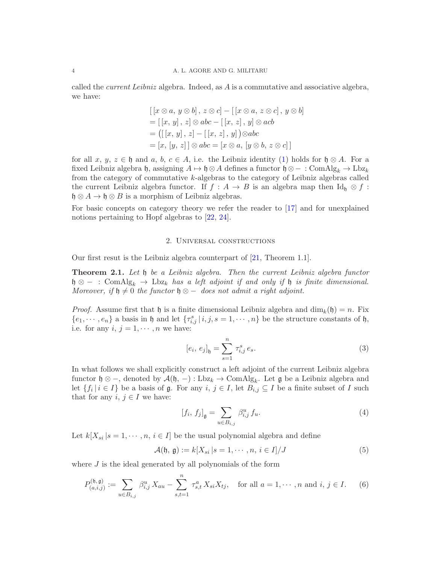called the *current Leibniz* algebra. Indeed, as  $\vec{A}$  is a commutative and associative algebra, we have:

$$
[[x \otimes a, y \otimes b], z \otimes c] - [[x \otimes a, z \otimes c], y \otimes b]
$$
  
= [[x, y], z] \otimes abc - [[x, z], y] \otimes acb  
= [[x, y], z] - [[x, z], y]) \otimes abc  
= [x, [y, z]] \otimes abc = [x \otimes a, [y \otimes b, z \otimes c]]

for all x, y,  $z \in \mathfrak{h}$  and a, b,  $c \in A$ , i.e. the Leibniz identity [\(1\)](#page-2-0) holds for  $\mathfrak{h} \otimes A$ . For a fixed Leibniz algebra h, assigning  $A \mapsto \mathfrak{h} \otimes A$  defines a functor  $\mathfrak{h} \otimes - : \text{ComAlg}_k \to \text{Lbz}_k$ from the category of commutative k-algebras to the category of Leibniz algebras called the current Leibniz algebra functor. If  $f : A \to B$  is an algebra map then Id<sub>h</sub>  $\otimes f$ :  $\mathfrak{h} \otimes A \to \mathfrak{h} \otimes B$  is a morphism of Leibniz algebras.

For basic concepts on category theory we refer the reader to [\[17\]](#page-17-14) and for unexplained notions pertaining to Hopf algebras to [\[22,](#page-17-15) [24\]](#page-17-0).

### 2. Universal constructions

Our first resut is the Leibniz algebra counterpart of [\[21,](#page-17-1) Theorem 1.1].

<span id="page-3-0"></span>**Theorem 2.1.** Let h be a Leibniz algebra. Then the current Leibniz algebra functor  $\mathfrak{h} \otimes -$  : ComAlg<sub>k</sub>  $\rightarrow$  Lbz<sub>k</sub> has a left adjoint if and only if  $\mathfrak{h}$  is finite dimensional. Moreover, if  $\mathfrak{h} \neq 0$  the functor  $\mathfrak{h} \otimes -$  does not admit a right adjoint.

*Proof.* Assume first that h is a finite dimensional Leibniz algebra and  $\dim_k(\mathfrak{h}) = n$ . Fix  $\{e_1, \dots, e_n\}$  a basis in h and let  $\{\tau_{i,j}^s | i,j,s = 1,\dots, n\}$  be the structure constants of h, i.e. for any  $i, j = 1, \dots, n$  we have:

$$
[e_i, e_j]_{\mathfrak{h}} = \sum_{s=1}^n \tau_{i,j}^s e_s.
$$
 (3)

In what follows we shall explicitly construct a left adjoint of the current Leibniz algebra functor  $\mathfrak{h} \otimes -$ , denoted by  $\mathcal{A}(\mathfrak{h}, -) : Lbz_k \to \text{ComAlg}_k$ . Let  $\mathfrak{g}$  be a Leibniz algebra and let  $\{f_i \mid i \in I\}$  be a basis of  $\mathfrak g$ . For any  $i, j \in I$ , let  $B_{i,j} \subseteq I$  be a finite subset of I such that for any  $i, j \in I$  we have:

$$
[f_i, f_j]_{\mathfrak{g}} = \sum_{u \in B_{i,j}} \beta_{i,j}^u f_u.
$$
 (4)

Let  $k[X_{si} | s = 1, \dots, n, i \in I]$  be the usual polynomial algebra and define

$$
\mathcal{A}(\mathfrak{h}, \mathfrak{g}) := k[X_{si} \, | s = 1, \cdots, n, i \in I] / J \tag{5}
$$

where J is the ideal generated by all polynomials of the form

<span id="page-3-1"></span>
$$
P_{(a,i,j)}^{(\mathfrak{h},\mathfrak{g})} := \sum_{u \in B_{i,j}} \beta_{i,j}^u X_{au} - \sum_{s,t=1}^n \tau_{s,t}^a X_{si} X_{tj}, \quad \text{for all } a = 1, \cdots, n \text{ and } i, j \in I. \tag{6}
$$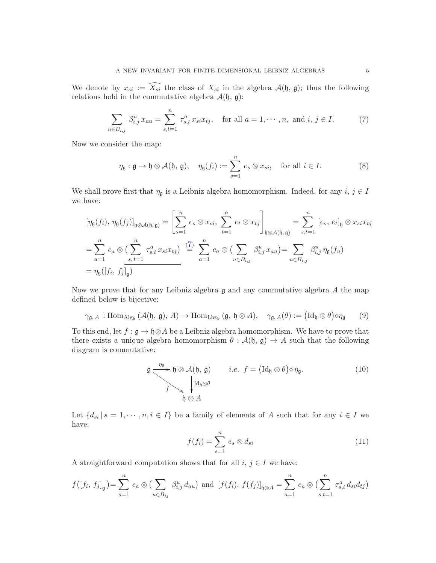We denote by  $x_{si} := \widehat{X_{si}}$  the class of  $X_{si}$  in the algebra  $\mathcal{A}(\mathfrak{h}, \mathfrak{g})$ ; thus the following relations hold in the commutative algebra  $\mathcal{A}(\mathfrak{h}, \mathfrak{g})$ :

<span id="page-4-0"></span>
$$
\sum_{u \in B_{i,j}} \beta_{i,j}^u x_{au} = \sum_{s,t=1}^n \tau_{s,t}^a x_{si} x_{tj}, \text{ for all } a = 1, \cdots, n, \text{ and } i, j \in I.
$$
 (7)

Now we consider the map:

$$
\eta_{\mathfrak{g}} : \mathfrak{g} \to \mathfrak{h} \otimes \mathcal{A}(\mathfrak{h}, \mathfrak{g}), \quad \eta_{\mathfrak{g}}(f_i) := \sum_{s=1}^n e_s \otimes x_{si}, \quad \text{for all } i \in I.
$$
 (8)

We shall prove first that  $\eta_{\mathfrak{g}}$  is a Leibniz algebra homomorphism. Indeed, for any  $i, j \in I$ we have:

$$
[\eta_{\mathfrak{g}}(f_i), \eta_{\mathfrak{g}}(f_j)]_{\mathfrak{h}\otimes\mathcal{A}(\mathfrak{h},\mathfrak{g})} = \left[\sum_{s=1}^n e_s \otimes x_{si}, \sum_{t=1}^n e_t \otimes x_{tj}\right]_{\mathfrak{h}\otimes\mathcal{A}(\mathfrak{h},\mathfrak{g})} = \sum_{s,t=1}^n [e_s, e_t]_{\mathfrak{h}} \otimes x_{si}x_{tj}
$$
  

$$
= \sum_{a=1}^n e_a \otimes \left(\sum_{s,t=1}^n \tau_{s,t}^a x_{si}x_{tj}\right) \stackrel{(7)}{=} \sum_{a=1}^n e_a \otimes \left(\sum_{u \in B_{i,j}} \beta_{i,j}^u x_{au}\right) = \sum_{u \in B_{i,j}} \beta_{i,j}^u \eta_{\mathfrak{g}}(f_u)
$$
  

$$
= \eta_{\mathfrak{g}}([f_i, f_j]_{\mathfrak{g}})
$$

Now we prove that for any Leibniz algebra  $\mathfrak g$  and any commutative algebra A the map defined below is bijective:

<span id="page-4-2"></span>
$$
\gamma_{\mathfrak{g},A} : \text{Hom}_{\text{Alg}_k}(\mathcal{A}(\mathfrak{h}, \mathfrak{g}), A) \to \text{Hom}_{\text{Lbz}_k}(\mathfrak{g}, \mathfrak{h} \otimes A), \quad \gamma_{\mathfrak{g},A}(\theta) := (\text{Id}_{\mathfrak{h}} \otimes \theta) \circ \eta_{\mathfrak{g}} \tag{9}
$$

To this end, let  $f : \mathfrak{g} \to \mathfrak{h} \otimes A$  be a Leibniz algebra homomorphism. We have to prove that there exists a unique algebra homomorphism  $\theta : \mathcal{A}(\mathfrak{h}, \mathfrak{g}) \to A$  such that the following diagram is commutative:

$$
\mathfrak{g} \xrightarrow{\eta_{\mathfrak{g}}} \mathfrak{h} \otimes \mathcal{A}(\mathfrak{h}, \mathfrak{g}) \qquad i.e. \ f = (\mathrm{Id}_{\mathfrak{h}} \otimes \theta) \circ \eta_{\mathfrak{g}}. \tag{10}
$$
\n
$$
\mathfrak{f} \searrow \qquad \qquad \mathfrak{h} \otimes \mathcal{A}
$$

Let  $\{d_{si} | s = 1, \dots, n, i \in I\}$  be a family of elements of A such that for any  $i \in I$  we have:

<span id="page-4-1"></span>
$$
f(f_i) = \sum_{s=1}^{n} e_s \otimes d_{si}
$$
 (11)

A straightforward computation shows that for all  $i, j \in I$  we have:

$$
f([f_i, f_j]_{\mathfrak{g}}) = \sum_{a=1}^n e_a \otimes (\sum_{u \in B_{ij}} \beta_{i,j}^u d_{au})
$$
 and  $[f(f_i), f(f_j)]_{\mathfrak{h}\otimes A} = \sum_{a=1}^n e_a \otimes (\sum_{s,t=1}^n \tau_{s,t}^a d_{si} d_{tj})$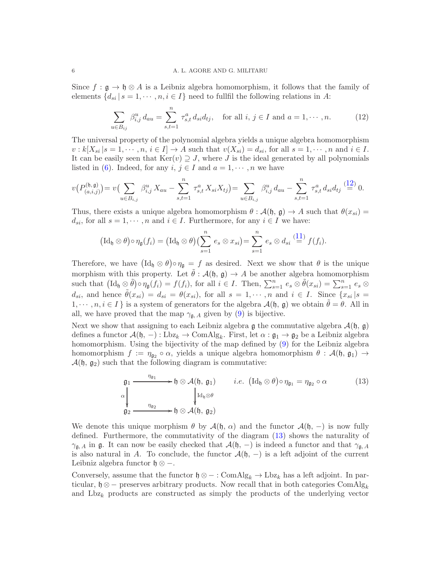Since  $f : \mathfrak{g} \to \mathfrak{h} \otimes A$  is a Leibniz algebra homomorphism, it follows that the family of elements  $\{d_{si} | s = 1, \dots, n, i \in I\}$  need to fullfil the following relations in A:

<span id="page-5-0"></span>
$$
\sum_{u \in B_{ij}} \beta_{i,j}^u d_{au} = \sum_{s,t=1}^n \tau_{s,t}^a d_{si} d_{tj}, \text{ for all } i, j \in I \text{ and } a = 1, \cdots, n. \tag{12}
$$

The universal property of the polynomial algebra yields a unique algebra homomorphism  $v : k[X_{si} | s = 1, \dots, n, i \in I] \rightarrow A$  such that  $v(X_{si}) = d_{si}$ , for all  $s = 1, \dots, n$  and  $i \in I$ . It can be easily seen that  $\text{Ker}(v) \supseteq J$ , where J is the ideal generated by all polynomials listed in [\(6\)](#page-3-1). Indeed, for any  $i, j \in I$  and  $a = 1, \dots, n$  we have

$$
v(P_{(a,i,j)}^{(\mathfrak{h},\mathfrak{g})})=v\big(\sum_{u\in B_{i,j}}\beta_{i,j}^u X_{au}-\sum_{s,t=1}^n\tau_{s,t}^a X_{si}X_{tj}\big)=\sum_{u\in B_{i,j}}\beta_{i,j}^u d_{au}-\sum_{s,t=1}^n\tau_{s,t}^a d_{si}d_{tj}\stackrel{(12)}{=}0.
$$

Thus, there exists a unique algebra homomorphism  $\theta : \mathcal{A}(\mathfrak{h}, \mathfrak{g}) \to A$  such that  $\theta(x_{si}) =$  $d_{si}$ , for all  $s = 1, \dots, n$  and  $i \in I$ . Furthermore, for any  $i \in I$  we have:

$$
\left(\mathrm{Id}_{\mathfrak{h}}\otimes\theta\right)\circ\eta_{\mathfrak{g}}(f_i)=\left(\mathrm{Id}_{\mathfrak{h}}\otimes\theta\right)\left(\sum_{s=1}^n e_s\otimes x_{si}\right)=\sum_{s=1}^n e_s\otimes d_{si}\stackrel{(11)}{=} f(f_i).
$$

Therefore, we have  $(\mathrm{Id}_{\mathfrak{h}} \otimes \theta) \circ \eta_{\mathfrak{g}} = f$  as desired. Next we show that  $\theta$  is the unique morphism with this property. Let  $\theta : \mathcal{A}(\mathfrak{h}, \mathfrak{g}) \to A$  be another algebra homomorphism such that  $(\mathrm{Id}_{\mathfrak{h}} \otimes \tilde{\theta}) \circ \eta_{\mathfrak{g}}(f_i) = f(f_i)$ , for all  $i \in I$ . Then,  $\sum_{s=1}^n e_s \otimes \tilde{\theta}(x_{si}) = \sum_{s=1}^n e_s \otimes$  $d_{si}$ , and hence  $\tilde{\theta}(x_{si}) = d_{si} = \theta(x_{si})$ , for all  $s = 1, \dots, n$  and  $i \in I$ . Since  $\{x_{si} | s =$  $1, \dots, n, i \in I$  is a system of generators for the algebra  $\mathcal{A}(\mathfrak{h}, \mathfrak{g})$  we obtain  $\theta = \theta$ . All in all, we have proved that the map  $\gamma_{\mathfrak{g},A}$  given by [\(9\)](#page-4-2) is bijective.

Next we show that assigning to each Leibniz algebra  $\mathfrak g$  the commutative algebra  $\mathcal A(\mathfrak h, \mathfrak g)$ defines a functor  $\mathcal{A}(\mathfrak{h}, -) : Lbz_k \to \text{ComAlg}_k$ . First, let  $\alpha : \mathfrak{g}_1 \to \mathfrak{g}_2$  be a Leibniz algebra homomorphism. Using the bijectivity of the map defined by [\(9\)](#page-4-2) for the Leibniz algebra homomorphism  $f := \eta_{\mathfrak{g}_2} \circ \alpha$ , yields a unique algebra homomorphism  $\theta : \mathcal{A}(\mathfrak{h}, \mathfrak{g}_1) \to$  $\mathcal{A}(\mathfrak{h}, \mathfrak{g}_2)$  such that the following diagram is commutative:

<span id="page-5-1"></span>
$$
\mathfrak{g}_1 \xrightarrow{\eta_{\mathfrak{g}_1}} \mathfrak{h} \otimes \mathcal{A}(\mathfrak{h}, \mathfrak{g}_1) \qquad i.e. \ (\mathrm{Id}_{\mathfrak{h}} \otimes \theta) \circ \eta_{\mathfrak{g}_1} = \eta_{\mathfrak{g}_2} \circ \alpha \tag{13}
$$
\n
$$
\alpha \downarrow \qquad \qquad \eta_{\mathfrak{g}_2} \xrightarrow{\eta_{\mathfrak{g}_2}} \mathfrak{h} \otimes \mathcal{A}(\mathfrak{h}, \mathfrak{g}_2)
$$

We denote this unique morphism  $\theta$  by  $\mathcal{A}(\mathfrak{h}, \alpha)$  and the functor  $\mathcal{A}(\mathfrak{h}, -)$  is now fully defined. Furthermore, the commutativity of the diagram [\(13\)](#page-5-1) shows the naturality of  $\gamma_{\mathfrak{g},A}$  in  $\mathfrak{g}$ . It can now be easily checked that  $\mathcal{A}(\mathfrak{h},-)$  is indeed a functor and that  $\gamma_{\mathfrak{g},A}$ is also natural in A. To conclude, the functor  $\mathcal{A}(\mathfrak{h},-)$  is a left adjoint of the current Leibniz algebra functor h ⊗ −.

Conversely, assume that the functor  $\mathfrak{h} \otimes - : \text{ComAlg}_k \to \text{Lbz}_k$  has a left adjoint. In particular,  $\mathfrak{h} \otimes -$  preserves arbitrary products. Now recall that in both categories ComAlg<sub>k</sub> and  $Lbz_k$  products are constructed as simply the products of the underlying vector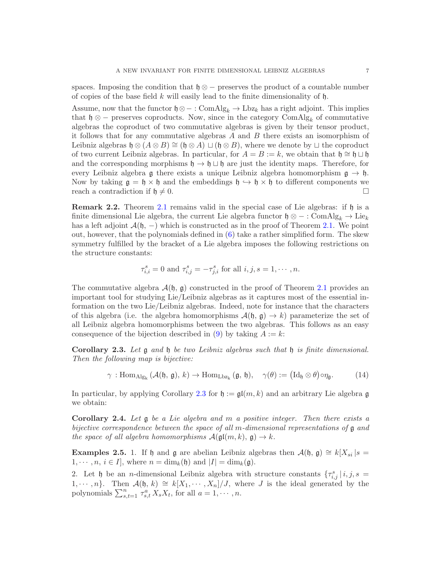spaces. Imposing the condition that  $\mathfrak{h} \otimes -$  preserves the product of a countable number of copies of the base field k will easily lead to the finite dimensionality of  $\mathfrak{h}$ .

Assume, now that the functor  $\mathfrak{h} \otimes - : \text{ComAlg}_k \to \text{Lbz}_k$  has a right adjoint. This implies that  $\mathfrak{h} \otimes -$  preserves coproducts. Now, since in the category ComAlg<sub>k</sub> of commutative algebras the coproduct of two commutative algebras is given by their tensor product, it follows that for any commutative algebras  $A$  and  $B$  there exists an isomorphism of Leibniz algebras  $\mathfrak{h} \otimes (A \otimes B) \cong (\mathfrak{h} \otimes A) \sqcup (\mathfrak{h} \otimes B)$ , where we denote by  $\sqcup$  the coproduct of two current Leibniz algebras. In particular, for  $A = B := k$ , we obtain that  $\mathfrak{h} \cong \mathfrak{h} \sqcup \mathfrak{h}$ and the corresponding morphisms  $\mathfrak{h} \to \mathfrak{h} \sqcup \mathfrak{h}$  are just the identity maps. Therefore, for every Leibniz algebra g there exists a unique Leibniz algebra homomorphism  $g \to \mathfrak{h}$ . Now by taking  $\mathfrak{g} = \mathfrak{h} \times \mathfrak{h}$  and the embeddings  $\mathfrak{h} \hookrightarrow \mathfrak{h} \times \mathfrak{h}$  to different components we reach a contradiction if  $\mathfrak{h} \neq 0$ .

Remark 2.2. Theorem [2.1](#page-3-0) remains valid in the special case of Lie algebras: if  $\mathfrak h$  is a finite dimensional Lie algebra, the current Lie algebra functor  $\mathfrak{h} \otimes - : \text{ComAlg}_k \to \text{Lie}_k$ has a left adjoint  $\mathcal{A}(\mathfrak{h}, -)$  which is constructed as in the proof of Theorem [2.1.](#page-3-0) We point out, however, that the polynomials defined in [\(6\)](#page-3-1) take a rather simplified form. The skew symmetry fulfilled by the bracket of a Lie algebra imposes the following restrictions on the structure constants:

$$
\tau_{i,i}^s = 0
$$
 and  $\tau_{i,j}^s = -\tau_{j,i}^s$  for all  $i, j, s = 1, \dots, n$ .

The commutative algebra  $\mathcal{A}(\mathfrak{h}, \mathfrak{g})$  constructed in the proof of Theorem [2.1](#page-3-0) provides an important tool for studying Lie/Leibniz algebras as it captures most of the essential information on the two Lie/Leibniz algebras. Indeed, note for instance that the characters of this algebra (i.e. the algebra homomorphisms  $\mathcal{A}(\mathfrak{h}, \mathfrak{g}) \to k$ ) parameterize the set of all Leibniz algebra homomorphisms between the two algebras. This follows as an easy consequence of the bijection described in [\(9\)](#page-4-2) by taking  $A := k$ :

<span id="page-6-0"></span>**Corollary 2.3.** Let  $\mathfrak g$  and  $\mathfrak h$  be two Leibniz algebras such that  $\mathfrak h$  is finite dimensional. Then the following map is bijective:

$$
\gamma : \mathrm{Hom}_{\mathrm{Alg}_{k}}\left(\mathcal{A}(\mathfrak{h},\,\mathfrak{g}),\,k\right) \to \mathrm{Hom}_{\mathrm{Lbz}_{k}}\left(\mathfrak{g},\,\mathfrak{h}\right), \quad \gamma(\theta) := \big(\mathrm{Id}_{\mathfrak{h}}\otimes\theta\big)\circ\eta_{\mathfrak{g}}.\tag{14}
$$

In particular, by applying Corollary [2.3](#page-6-0) for  $\mathfrak{h} := \mathfrak{gl}(m, k)$  and an arbitrary Lie algebra g we obtain:

<span id="page-6-1"></span>**Corollary 2.4.** Let  $\mathfrak g$  be a Lie algebra and m a positive integer. Then there exists a bijective correspondence between the space of all m-dimensional representations of  $\mathfrak g$  and the space of all algebra homomorphisms  $\mathcal{A}(\mathfrak{gl}(m,k), \mathfrak{g}) \to k$ .

Examples 2.5. 1. If h and g are abelian Leibniz algebras then  $\mathcal{A}(\mathfrak{h}, \mathfrak{g}) \cong k[X_{si} | s =$  $1, \dots, n, i \in I$ , where  $n = \dim_k(\mathfrak{h})$  and  $|I| = \dim_k(\mathfrak{g})$ .

2. Let h be an *n*-dimensional Leibniz algebra with structure constants  $\{\tau_{i,j}^s | i,j,s =$ 1,  $\cdots$ , n}. Then  $\mathcal{A}(\mathfrak{h},k) \cong k[X_1,\cdots,X_n]/J$ , where J is the ideal generated by the polynomials  $\sum_{s,t=1}^n \tau_{s,t}^a X_s X_t$ , for all  $a=1,\dots, n$ .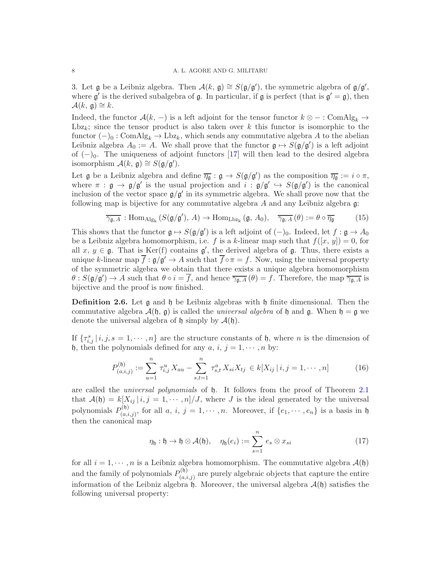3. Let  $\mathfrak g$  be a Leibniz algebra. Then  $\mathcal A(k, \mathfrak g) \cong S(\mathfrak g/\mathfrak g')$ , the symmetric algebra of  $\mathfrak g/\mathfrak g'$ , where  $\mathfrak{g}'$  is the derived subalgebra of  $\mathfrak{g}$ . In particular, if  $\mathfrak{g}$  is perfect (that is  $\mathfrak{g}' = \mathfrak{g}$ ), then  $\mathcal{A}(k, \mathfrak{g}) \cong k.$ 

Indeed, the functor  $\mathcal{A}(k, -)$  is a left adjoint for the tensor functor  $k \otimes - : \text{ComAlg}_k \rightarrow$ Lbz<sub>k</sub>; since the tensor product is also taken over  $k$  this functor is isomorphic to the functor  $(-)_0$ : ComAlg<sub>k</sub>  $\rightarrow$  Lbz<sub>k</sub>, which sends any commutative algebra A to the abelian Leibniz algebra  $A_0 := A$ . We shall prove that the functor  $\mathfrak{g} \mapsto S(\mathfrak{g}/\mathfrak{g}')$  is a left adjoint of  $(-)_0$ . The uniqueness of adjoint functors [\[17\]](#page-17-14) will then lead to the desired algebra isomorphism  $\mathcal{A}(k, \mathfrak{g}) \cong S(\mathfrak{g}/\mathfrak{g}').$ 

Let  $\mathfrak g$  be a Leibniz algebra and define  $\overline{\eta_{\mathfrak g}}: \mathfrak g \to S(\mathfrak g/\mathfrak g')$  as the composition  $\overline{\eta_{\mathfrak g}}:=i\circ \pi$ , where  $\pi : \mathfrak{g} \to \mathfrak{g}/\mathfrak{g}'$  is the usual projection and  $i : \mathfrak{g}/\mathfrak{g}' \hookrightarrow S(\mathfrak{g}/\mathfrak{g}')$  is the canonical inclusion of the vector space  $g/g'$  in its symmetric algebra. We shall prove now that the following map is bijective for any commutative algebra A and any Leibniz algebra g:

$$
\overline{\gamma_{\mathfrak{g},A}} : \text{Hom}_{\text{Alg}_{k}}\left(S(\mathfrak{g}/\mathfrak{g}'), A\right) \to \text{Hom}_{\text{Lbz}_{k}}\left(\mathfrak{g}, A_{0}\right), \quad \overline{\gamma_{\mathfrak{g},A}}\left(\theta\right) := \theta \circ \overline{\eta_{\mathfrak{g}}}
$$
(15)

This shows that the functor  $\mathfrak{g} \mapsto S(\mathfrak{g}/\mathfrak{g}')$  is a left adjoint of  $(-)_0$ . Indeed, let  $f : \mathfrak{g} \to A_0$ be a Leibniz algebra homomorphism, i.e. f is a k-linear map such that  $f([x, y]) = 0$ , for all  $x, y \in \mathfrak{g}$ . That is Ker(f) contains  $\mathfrak{g}'$ , the derived algebra of  $\mathfrak{g}$ . Thus, there exists a unique k-linear map  $\overline{f}$ :  $g/g' \to A$  such that  $\overline{f} \circ \pi = f$ . Now, using the universal property of the symmetric algebra we obtain that there exists a unique algebra homomorphism  $\theta: S(\mathfrak{g}/\mathfrak{g}') \to A$  such that  $\theta \circ i = \overline{f}$ , and hence  $\overline{\gamma_{\mathfrak{g},A}}(\theta) = f$ . Therefore, the map  $\overline{\gamma_{\mathfrak{g},A}}$  is bijective and the proof is now finished.

**Definition 2.6.** Let  $\mathfrak{g}$  and  $\mathfrak{h}$  be Leibniz algebras with  $\mathfrak{h}$  finite dimensional. Then the commutative algebra  $\mathcal{A}(\mathfrak{h}, \mathfrak{g})$  is called the universal algebra of  $\mathfrak{h}$  and  $\mathfrak{g}$ . When  $\mathfrak{h} = \mathfrak{g}$  we denote the universal algebra of  $\mathfrak h$  simply by  $\mathcal A(\mathfrak h)$ .

If  $\{\tau_{i,j}^s | i,j,s = 1,\cdots,n\}$  are the structure constants of h, where n is the dimension of h, then the polynomials defined for any  $a, i, j = 1, \dots, n$  by:

$$
P_{(a,i,j)}^{(\mathfrak{h})} := \sum_{u=1}^{n} \tau_{i,j}^{u} X_{au} - \sum_{s,t=1}^{n} \tau_{s,t}^{a} X_{si} X_{tj} \in k[X_{ij} | i, j = 1, \cdots, n]
$$
 (16)

are called the universal polynomials of h. It follows from the proof of Theorem [2.1](#page-3-0) that  $\mathcal{A}(\mathfrak{h}) = k[X_{ij} | i, j = 1, \cdots, n]/J$ , where J is the ideal generated by the universal polynomials  $P_{(a)}^{(\mathfrak{h})}$  $(a_{(a,i,j)}^{(0)},$  for all  $a, i, j = 1, \dots, n$ . Moreover, if  $\{e_1, \dots, e_n\}$  is a basis in h then the canonical map

<span id="page-7-0"></span>
$$
\eta_{\mathfrak{h}} : \mathfrak{h} \to \mathfrak{h} \otimes \mathcal{A}(\mathfrak{h}), \quad \eta_{\mathfrak{h}}(e_i) := \sum_{s=1}^n e_s \otimes x_{si} \qquad (17)
$$

for all  $i = 1, \dots, n$  is a Leibniz algebra homomorphism. The commutative algebra  $\mathcal{A}(\mathfrak{h})$ and the family of polynomials  $P_{(q,i)}^{(\mathfrak{h})}$  $\binom{S^{(1)}}{(a,i,j)}$  are purely algebraic objects that capture the entire information of the Leibniz algebra  $\hat{\phi}$ . Moreover, the universal algebra  $\mathcal{A}(\mathfrak{h})$  satisfies the following universal property: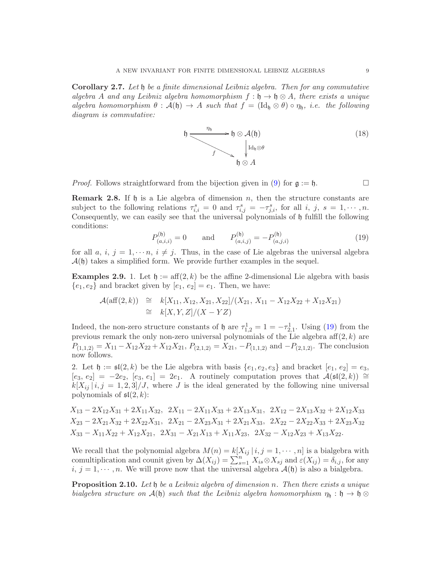<span id="page-8-2"></span>Corollary 2.7. Let  $\mathfrak h$  be a finite dimensional Leibniz algebra. Then for any commutative algebra A and any Leibniz algebra homomorphism  $f : \mathfrak{h} \to \mathfrak{h} \otimes A$ , there exists a unique algebra homomorphism  $\theta : \mathcal{A}(\mathfrak{h}) \to A$  such that  $f = (\mathrm{Id}_{\mathfrak{h}} \otimes \theta) \circ \eta_{\mathfrak{h}}$ , i.e. the following diagram is commutative:



*Proof.* Follows straightforward from the bijection given in [\(9\)](#page-4-2) for  $\mathfrak{g} := \mathfrak{h}$ .

**Remark 2.8.** If  $\mathfrak{h}$  is a Lie algebra of dimension n, then the structure constants are subject to the following relations  $\tau_{i,i}^s = 0$  and  $\tau_{i,j}^s = -\tau_{j,i}^s$ , for all i, j,  $s = 1, \dots, n$ . Consequently, we can easily see that the universal polynomials of  $\mathfrak h$  fulfill the following conditions:

<span id="page-8-1"></span>
$$
P_{(a,i,i)}^{(\mathfrak{h})} = 0 \quad \text{and} \quad P_{(a,i,j)}^{(\mathfrak{h})} = -P_{(a,j,i)}^{(\mathfrak{h})} \tag{19}
$$

for all a, i,  $j = 1, \dots, i \neq j$ . Thus, in the case of Lie algebras the universal algebra  $\mathcal{A}(\mathfrak{h})$  takes a simplified form. We provide further examples in the sequel.

**Examples 2.9.** 1. Let  $\mathfrak{h} := \text{aff}(2,k)$  be the affine 2-dimensional Lie algebra with basis  $\{e_1, e_2\}$  and bracket given by  $[e_1, e_2] = e_1$ . Then, we have:

$$
\mathcal{A}(\text{aff}(2,k)) \cong k[X_{11}, X_{12}, X_{21}, X_{22}]/(X_{21}, X_{11} - X_{12}X_{22} + X_{12}X_{21})
$$
  
\n
$$
\cong k[X, Y, Z]/(X - YZ)
$$

Indeed, the non-zero structure constants of  $\mathfrak h$  are  $\tau_{1,2}^1 = 1 = -\tau_{2,1}^1$ . Using [\(19\)](#page-8-1) from the previous remark the only non-zero universal polynomials of the Lie algebra  $\text{aff}(2, k)$  are  $P_{(1,1,2)} = X_{11} - X_{12}X_{22} + X_{12}X_{21}$ ,  $P_{(2,1,2)} = X_{21}$ ,  $-P_{(1,1,2)}$  and  $-P_{(2,1,2)}$ . The conclusion now follows.

2. Let  $\mathfrak{h} := \mathfrak{sl}(2,k)$  be the Lie algebra with basis  $\{e_1, e_2, e_3\}$  and bracket  $[e_1, e_2] = e_3$ ,  $[e_3, e_2] = -2e_2, [e_3, e_1] = 2e_1$ . A routinely computation proves that  $\mathcal{A}(\mathfrak{sl}(2,k)) \cong$  $k[X_{ij} | i, j = 1, 2, 3]/J$ , where J is the ideal generated by the following nine universal polynomials of  $\mathfrak{sl}(2,k)$ :

 $X_{13} - 2X_{12}X_{31} + 2X_{11}X_{32}$ ,  $2X_{11} - 2X_{11}X_{33} + 2X_{13}X_{31}$ ,  $2X_{12} - 2X_{13}X_{32} + 2X_{12}X_{33}$  $X_{23} - 2X_{21}X_{32} + 2X_{22}X_{31}$ ,  $2X_{21} - 2X_{23}X_{31} + 2X_{21}X_{33}$ ,  $2X_{22} - 2X_{22}X_{33} + 2X_{23}X_{32}$  $X_{33} - X_{11}X_{22} + X_{12}X_{21}$ ,  $2X_{31} - X_{21}X_{13} + X_{11}X_{23}$ ,  $2X_{32} - X_{12}X_{23} + X_{13}X_{22}$ .

We recall that the polynomial algebra  $M(n) = k[X_{ij} | i, j = 1, \dots, n]$  is a bialgebra with comultiplication and counit given by  $\Delta(X_{ij}) = \sum_{s=1}^{n} X_{is} \otimes X_{sj}$  and  $\varepsilon(X_{ij}) = \delta_{i,j}$ , for any  $i, j = 1, \dots, n$ . We will prove now that the universal algebra  $\mathcal{A}(\mathfrak{h})$  is also a bialgebra.

<span id="page-8-0"></span>**Proposition 2.10.** Let  $\mathfrak h$  be a Leibniz algebra of dimension n. Then there exists a unique bialgebra structure on  $\mathcal{A}(\mathfrak{h})$  such that the Leibniz algebra homomorphism  $\eta_{\mathfrak{h}} : \mathfrak{h} \to \mathfrak{h} \otimes$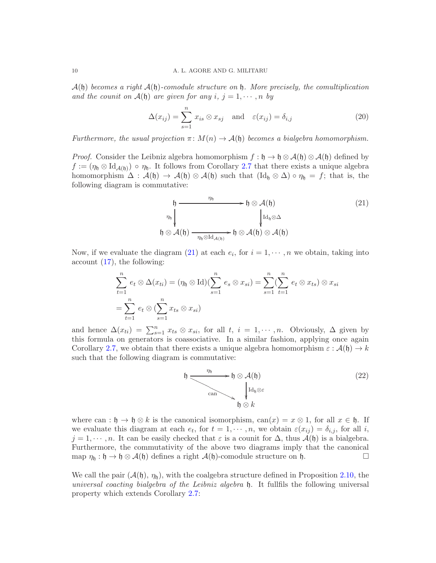$\mathcal{A}(\mathfrak{h})$  becomes a right  $\mathcal{A}(\mathfrak{h})$ -comodule structure on  $\mathfrak{h}$ . More precisely, the comultiplication and the counit on  $\mathcal{A}(\mathfrak{h})$  are given for any  $i, j = 1, \cdots, n$  by

$$
\Delta(x_{ij}) = \sum_{s=1}^{n} x_{is} \otimes x_{sj} \quad \text{and} \quad \varepsilon(x_{ij}) = \delta_{i,j}
$$
 (20)

Furthermore, the usual projection  $\pi \colon M(n) \to \mathcal{A}(\mathfrak{h})$  becomes a bialgebra homomorphism.

*Proof.* Consider the Leibniz algebra homomorphism  $f : \mathfrak{h} \to \mathfrak{h} \otimes A(\mathfrak{h}) \otimes A(\mathfrak{h})$  defined by  $f := (\eta_0 \otimes \mathrm{Id}_{\mathcal{A}(\mathfrak{h})}) \circ \eta_0$ . It follows from Corollary [2.7](#page-8-2) that there exists a unique algebra homomorphism  $\Delta : \mathcal{A}(\mathfrak{h}) \to \mathcal{A}(\mathfrak{h}) \otimes \mathcal{A}(\mathfrak{h})$  such that  $(\mathrm{Id}_{\mathfrak{h}} \otimes \Delta) \circ \eta_{\mathfrak{h}} = f$ ; that is, the following diagram is commutative:

<span id="page-9-0"></span>
$$
\mathfrak{h} \xrightarrow{\eta_{\mathfrak{h}}} \mathfrak{h} \otimes \mathcal{A}(\mathfrak{h})
$$
\n
$$
\eta_{\mathfrak{h}} \downarrow \qquad \qquad \downarrow \qquad \qquad \downarrow \qquad \qquad \downarrow \qquad \qquad \downarrow \qquad \qquad \downarrow \qquad \downarrow \qquad \downarrow \qquad \downarrow \qquad \downarrow \qquad \downarrow \qquad \downarrow \qquad \downarrow \qquad \downarrow \qquad \downarrow \qquad \downarrow \qquad \downarrow \qquad \downarrow \qquad \downarrow \qquad \downarrow \qquad \downarrow \qquad \downarrow \qquad \downarrow \qquad \downarrow \qquad \downarrow \qquad \downarrow \qquad \downarrow \qquad \downarrow \qquad \downarrow \qquad \downarrow \qquad \downarrow \qquad \downarrow \qquad \downarrow \qquad \downarrow \qquad \downarrow \qquad \downarrow \qquad \downarrow \qquad \downarrow \qquad \downarrow \qquad \downarrow \qquad \downarrow \qquad \downarrow \qquad \downarrow \qquad \downarrow \qquad \downarrow \qquad \downarrow \qquad \downarrow \qquad \downarrow \qquad \downarrow \qquad \downarrow \qquad \downarrow \qquad \downarrow \qquad \downarrow \qquad \downarrow \qquad \downarrow \qquad \downarrow \qquad \downarrow \qquad \downarrow \qquad \downarrow \qquad \downarrow \qquad \downarrow \qquad \downarrow \qquad \downarrow \qquad \downarrow \qquad \downarrow \qquad \downarrow \qquad \downarrow \qquad \downarrow \qquad \downarrow \qquad \downarrow \qquad \downarrow \qquad \downarrow \qquad \downarrow \qquad \downarrow \qquad \downarrow \qquad \downarrow \qquad \downarrow \qquad \downarrow \qquad \downarrow \qquad \downarrow \qquad \downarrow \qquad \downarrow \qquad \downarrow \qquad \downarrow \qquad \downarrow \qquad \downarrow \qquad \downarrow \qquad \downarrow \qquad \downarrow \qquad \downarrow \qquad \downarrow \qquad \downarrow \qquad \downarrow \qquad \downarrow \qquad \downarrow \qquad \downarrow \qquad \downarrow \qquad \downarrow \qquad \downarrow \qquad \downarrow \qquad \downarrow \qquad \downarrow \qquad \downarrow \qquad \downarrow \qquad \downarrow \qquad \downarrow \qquad \downarrow \qquad \downarrow \qquad \downarrow \qquad \downarrow \qquad \downarrow \qquad \downarrow \qquad \downarrow \qquad \downarrow \q
$$

Now, if we evaluate the diagram  $(21)$  at each  $e_i$ , for  $i = 1, \dots, n$  we obtain, taking into account [\(17\)](#page-7-0), the following:

 $h$ 

$$
\sum_{t=1}^{n} e_t \otimes \Delta(x_{ti}) = (\eta_0 \otimes \text{Id})(\sum_{s=1}^{n} e_s \otimes x_{si}) = \sum_{s=1}^{n} (\sum_{t=1}^{n} e_t \otimes x_{ts}) \otimes x_{si}
$$

$$
= \sum_{t=1}^{n} e_t \otimes (\sum_{s=1}^{n} x_{ts} \otimes x_{si})
$$

and hence  $\Delta(x_{ti}) = \sum_{s=1}^n x_{ts} \otimes x_{si}$ , for all  $t, i = 1, \dots, n$ . Obviously,  $\Delta$  given by this formula on generators is coassociative. In a similar fashion, applying once again Corollary [2.7,](#page-8-2) we obtain that there exists a unique algebra homomorphism  $\varepsilon : \mathcal{A}(\mathfrak{h}) \to k$ such that the following diagram is commutative:



where can :  $\mathfrak{h} \to \mathfrak{h} \otimes k$  is the canonical isomorphism,  $can(x) = x \otimes 1$ , for all  $x \in \mathfrak{h}$ . If we evaluate this diagram at each  $e_t$ , for  $t = 1, \dots, n$ , we obtain  $\varepsilon(x_{ij}) = \delta_{i,j}$ , for all i,  $j = 1, \dots, n$ . It can be easily checked that  $\varepsilon$  is a counit for  $\Delta$ , thus  $\mathcal{A}(\mathfrak{h})$  is a bialgebra. Furthermore, the commutativity of the above two diagrams imply that the canonical map  $\eta_{\mathfrak{h}} : \mathfrak{h} \to \mathfrak{h} \otimes \mathcal{A}(\mathfrak{h})$  defines a right  $\mathcal{A}(\mathfrak{h})$ -comodule structure on  $\mathfrak{h}$ .

We call the pair  $(\mathcal{A}(\mathfrak{h}), \eta_{\mathfrak{h}})$ , with the coalgebra structure defined in Proposition [2.10,](#page-8-0) the universal coacting bialgebra of the Leibniz algebra h. It fullfils the following universal property which extends Corollary [2.7:](#page-8-2)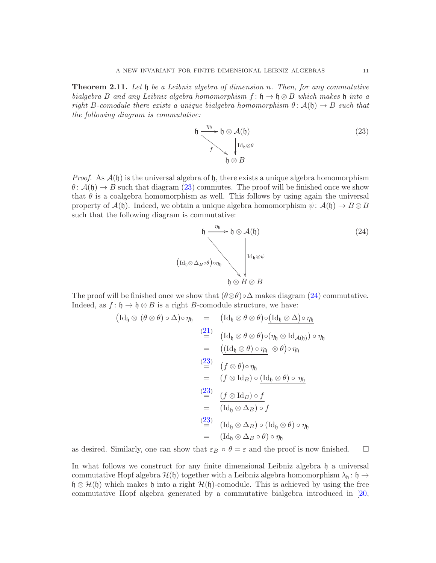<span id="page-10-0"></span>**Theorem 2.11.** Let  $\mathfrak h$  be a Leibniz algebra of dimension n. Then, for any commutative bialgebra B and any Leibniz algebra homomorphism  $f: \mathfrak{h} \to \mathfrak{h} \otimes B$  which makes  $\mathfrak{h}$  into a right B-comodule there exists a unique bialgebra homomorphism  $\theta: \mathcal{A}(\mathfrak{h}) \to B$  such that the following diagram is commutative:

<span id="page-10-1"></span>
$$
\mathfrak{h} \xrightarrow{\eta_{\mathfrak{h}}} \mathfrak{h} \otimes \mathcal{A}(\mathfrak{h})
$$
\n
$$
\downarrow \mathrm{Id}_{\mathfrak{h}} \otimes \theta
$$
\n
$$
\downarrow \mathrm{Id}_{\mathfrak{h}} \otimes \theta
$$
\n
$$
\mathfrak{h} \otimes B
$$
\n
$$
(23)
$$

*Proof.* As  $\mathcal{A}(\mathfrak{h})$  is the universal algebra of  $\mathfrak{h}$ , there exists a unique algebra homomorphism  $\theta$ :  $\mathcal{A}(\mathfrak{h}) \to B$  such that diagram [\(23\)](#page-10-1) commutes. The proof will be finished once we show that  $\theta$  is a coalgebra homomorphism as well. This follows by using again the universal property of  $\mathcal{A}(\mathfrak{h})$ . Indeed, we obtain a unique algebra homomorphism  $\psi: \mathcal{A}(\mathfrak{h}) \to B \otimes B$ such that the following diagram is commutative:

<span id="page-10-2"></span>
$$
\mathfrak{h} \xrightarrow{\eta_{\mathfrak{h}}} \mathfrak{h} \otimes \mathcal{A}(\mathfrak{h})
$$
\n
$$
\left(\mathrm{Id}_{\mathfrak{h}} \otimes \Delta_B \circ \theta\right) \circ \eta_{\mathfrak{h}}
$$
\n
$$
\mathfrak{h} \otimes B \otimes B
$$
\n(24)

The proof will be finished once we show that  $(\theta \otimes \theta) \circ \Delta$  makes diagram [\(24\)](#page-10-2) commutative. Indeed, as  $f: \mathfrak{h} \to \mathfrak{h} \otimes B$  is a right B-comodule structure, we have:

$$
\begin{array}{rcl}\n(\mathrm{Id}_{\mathfrak{h}}\otimes(\theta\otimes\theta)\circ\Delta)\circ\eta_{\mathfrak{h}}&=&(\mathrm{Id}_{\mathfrak{h}}\otimes\theta\otimes\theta)\circ(\mathrm{Id}_{\mathfrak{h}}\otimes\Delta)\circ\eta_{\mathfrak{h}}\\
\stackrel{(21)}{=}&&(\mathrm{Id}_{\mathfrak{h}}\otimes\theta\otimes\theta)\circ(\eta_{\mathfrak{h}}\otimes\mathrm{Id}_{\mathcal{A}(\mathfrak{h})})\circ\eta_{\mathfrak{h}}\\
&=&((\mathrm{Id}_{\mathfrak{h}}\otimes\theta)\circ\eta_{\mathfrak{h}}\otimes\theta)\circ\eta_{\mathfrak{h}}\\
\stackrel{(23)}{=}&&(\mathfrak{f}\otimes\theta)\circ\eta_{\mathfrak{h}}\\
&=&(\mathfrak{f}\otimes\mathrm{Id}_{B})\circ(\mathrm{Id}_{\mathfrak{h}}\otimes\theta)\circ\eta_{\mathfrak{h}}\\
\stackrel{(23)}{=}&&(\mathfrak{f}\otimes\mathrm{Id}_{B})\circ\mathfrak{f}\\
\stackrel{(23)}{=}&&(\mathrm{Id}_{\mathfrak{h}}\otimes\Delta_{B})\circ\underline{\mathfrak{f}}\\
\stackrel{(23)}{=}&&(\mathrm{Id}_{\mathfrak{h}}\otimes\Delta_{B})\circ(\mathrm{Id}_{\mathfrak{h}}\otimes\theta)\circ\eta_{\mathfrak{h}}\\
&=&(\mathrm{Id}_{\mathfrak{h}}\otimes\Delta_{B}\circ\theta)\circ\eta_{\mathfrak{h}}\n\end{array}
$$

as desired. Similarly, one can show that  $\varepsilon_B \circ \theta = \varepsilon$  and the proof is now finished.  $\square$ 

In what follows we construct for any finite dimensional Leibniz algebra  $\mathfrak h$  a universal commutative Hopf algebra  $\mathcal{H}(\mathfrak{h})$  together with a Leibniz algebra homomorphism  $\lambda_{\mathfrak{h}}$ :  $\mathfrak{h} \to$  $\mathfrak{h} \otimes \mathcal{H}(\mathfrak{h})$  which makes  $\mathfrak{h}$  into a right  $\mathcal{H}(\mathfrak{h})$ -comodule. This is achieved by using the free commutative Hopf algebra generated by a commutative bialgebra introduced in [\[20,](#page-17-13)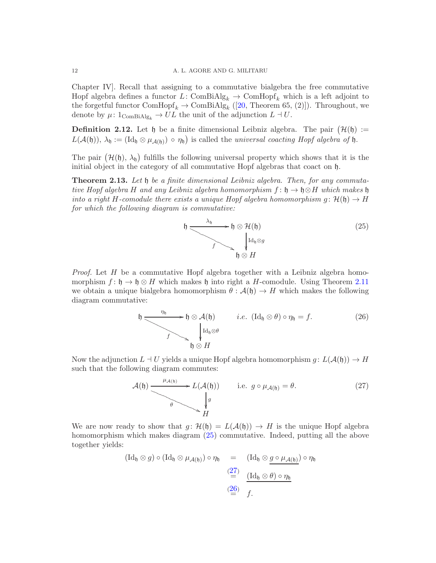Chapter IV]. Recall that assigning to a commutative bialgebra the free commutative Hopf algebra defines a functor L: ComBiAlg<sub>k</sub>  $\rightarrow$  ComHopf<sub>k</sub> which is a left adjoint to the forgetful functor  $\text{ComHopf}_k \to \text{ComBiAlg}_k$  ([\[20,](#page-17-13) Theorem 65, (2)]). Throughout, we denote by  $\mu: 1_{\text{ComBiAlg}_k} \to UL$  the unit of the adjunction  $L \dashv U$ .

**Definition 2.12.** Let  $\mathfrak{h}$  be a finite dimensional Leibniz algebra. The pair  $(\mathcal{H}(\mathfrak{h}) :=$  $L(\mathcal{A}(\mathfrak{h}))$ ,  $\lambda_{\mathfrak{h}} := (\mathrm{Id}_{\mathfrak{h}} \otimes \mu_{\mathcal{A}(\mathfrak{h})}) \circ \eta_{\mathfrak{h}})$  is called the universal coacting Hopf algebra of  $\mathfrak{h}$ .

The pair  $(\mathcal{H}(\mathfrak{h}), \lambda_{\mathfrak{h}})$  fulfills the following universal property which shows that it is the initial object in the category of all commutative Hopf algebras that coact on h.

<span id="page-11-0"></span>**Theorem 2.13.** Let  $\mathfrak{h}$  be a finite dimensional Leibniz algebra. Then, for any commutative Hopf algebra H and any Leibniz algebra homomorphism  $f: \mathfrak{h} \to \mathfrak{h} \otimes H$  which makes  $\mathfrak{h}$ into a right H-comodule there exists a unique Hopf algebra homomorphism  $g: \mathcal{H}(\mathfrak{h}) \to H$ for which the following diagram is commutative:

<span id="page-11-1"></span>

Proof. Let H be a commutative Hopf algebra together with a Leibniz algebra homomorphism  $f: \mathfrak{h} \to \mathfrak{h} \otimes H$  which makes  $\mathfrak{h}$  into right a H-comodule. Using Theorem [2.11](#page-10-0) we obtain a unique bialgebra homomorphism  $\theta : \mathcal{A}(\mathfrak{h}) \to H$  which makes the following diagram commutative:

<span id="page-11-3"></span>
$$
\mathfrak{h} \xrightarrow{\eta_{\mathfrak{h}}} \mathfrak{h} \otimes \mathcal{A}(\mathfrak{h}) \qquad i.e. \ (\mathrm{Id}_{\mathfrak{h}} \otimes \theta) \circ \eta_{\mathfrak{h}} = f. \tag{26}
$$
\n
$$
\mathfrak{h} \otimes H
$$

Now the adjunction  $L \dashv U$  yields a unique Hopf algebra homomorphism  $g: L(\mathcal{A}(\mathfrak{h})) \to H$ such that the following diagram commutes:

<span id="page-11-2"></span>
$$
\mathcal{A}(\mathfrak{h}) \xrightarrow{\mu_{\mathcal{A}(\mathfrak{h})}} L(\mathcal{A}(\mathfrak{h})) \quad \text{i.e. } g \circ \mu_{\mathcal{A}(\mathfrak{h})} = \theta. \tag{27}
$$

We are now ready to show that  $g: \mathcal{H}(\mathfrak{h}) = L(\mathcal{A}(\mathfrak{h})) \to H$  is the unique Hopf algebra homomorphism which makes diagram [\(25\)](#page-11-1) commutative. Indeed, putting all the above together yields:

$$
(\mathrm{Id}_{\mathfrak{h}} \otimes g) \circ (\mathrm{Id}_{\mathfrak{h}} \otimes \mu_{\mathcal{A}(\mathfrak{h})}) \circ \eta_{\mathfrak{h}} = (\mathrm{Id}_{\mathfrak{h}} \otimes \underbrace{g \circ \mu_{\mathcal{A}(\mathfrak{h})}}) \circ \eta_{\mathfrak{h}}
$$

$$
\stackrel{(27)}{=} \underbrace{(\mathrm{Id}_{\mathfrak{h}} \otimes \theta) \circ \eta_{\mathfrak{h}}}_{f.}
$$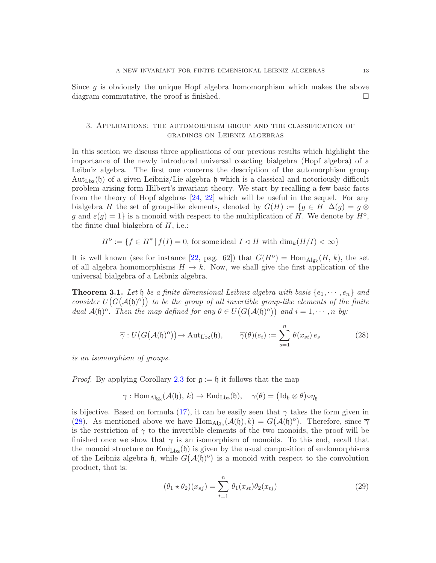Since  $q$  is obviously the unique Hopf algebra homomorphism which makes the above diagram commutative, the proof is finished.

## 3. Applications: the automorphism group and the classification of gradings on Leibniz algebras

In this section we discuss three applications of our previous results which highlight the importance of the newly introduced universal coacting bialgebra (Hopf algebra) of a Leibniz algebra. The first one concerns the description of the automorphism group  $Aut_{Lbz}(h)$  of a given Leibniz/Lie algebra h which is a classical and notoriously difficult problem arising form Hilbert's invariant theory. We start by recalling a few basic facts from the theory of Hopf algebras [\[24,](#page-17-0) [22\]](#page-17-15) which will be useful in the sequel. For any bialgebra H the set of group-like elements, denoted by  $G(H) := \{g \in H \mid \Delta(g) = g \otimes$ g and  $\varepsilon(g) = 1$  is a monoid with respect to the multiplication of H. We denote by  $H^o$ , the finite dual bialgebra of  $H$ , i.e.:

 $H^{\circ} := \{ f \in H^* \mid f(I) = 0, \text{ for some ideal } I \lhd H \text{ with } \dim_k(H/I) < \infty \}$ 

It is well known (see for instance [\[22,](#page-17-15) pag. 62]) that  $G(H^{\circ}) = \text{Hom}_{\text{Alg}_k}(H, k)$ , the set of all algebra homomorphisms  $H \to k$ . Now, we shall give the first application of the universal bialgebra of a Leibniz algebra.

<span id="page-12-0"></span>**Theorem 3.1.** Let  $\mathfrak{h}$  be a finite dimensional Leibniz algebra with basis  $\{e_1, \dots, e_n\}$  and consider  $U(G(A(\mathfrak{h})^{\circ}))$  to be the group of all invertible group-like elements of the finite dual  $\mathcal{A}(\mathfrak{h})^{\circ}$ . Then the map defined for any  $\theta \in U(G(\mathcal{A}(\mathfrak{h})^{\circ}))$  and  $i = 1, \cdots, n$  by:

<span id="page-12-1"></span>
$$
\overline{\gamma}: U\big(G\big(\mathcal{A}(\mathfrak{h})^{\circ}\big)\big) \to \mathrm{Aut}_{\mathrm{Lbz}}(\mathfrak{h}), \qquad \overline{\gamma}(\theta)(e_i) := \sum_{s=1}^n \theta(x_{si}) e_s \tag{28}
$$

is an isomorphism of groups.

*Proof.* By applying Corollary [2.3](#page-6-0) for  $\mathfrak{g} := \mathfrak{h}$  it follows that the map

$$
\gamma: \mathrm{Hom}_{\mathrm{Alg}_k}(\mathcal{A}(\mathfrak{h}), \, k) \rightarrow \mathrm{End}_{\mathrm{Lbz}}(\mathfrak{h}), \quad \gamma(\theta) = \big(\mathrm{Id}_\mathfrak{h} \otimes \theta\big) \circ \eta_\mathfrak{g}
$$

is bijective. Based on formula [\(17\)](#page-7-0), it can be easily seen that  $\gamma$  takes the form given in [\(28\)](#page-12-1). As mentioned above we have  $\text{Hom}_{\text{Alg}_k}(\mathcal{A}(\mathfrak{h}), k) = G(\mathcal{A}(\mathfrak{h})^{\text{o}})$ . Therefore, since  $\overline{\gamma}$ is the restriction of  $\gamma$  to the invertible elements of the two monoids, the proof will be finished once we show that  $\gamma$  is an isomorphism of monoids. To this end, recall that the monoid structure on  $\text{End}_{\text{Lbz}}(\mathfrak{h})$  is given by the usual composition of endomorphisms of the Leibniz algebra h, while  $G(A(\mathfrak{h})^{\circ})$  is a monoid with respect to the convolution product, that is:

$$
(\theta_1 * \theta_2)(x_{sj}) = \sum_{t=1}^n \theta_1(x_{st})\theta_2(x_{tj})
$$
\n(29)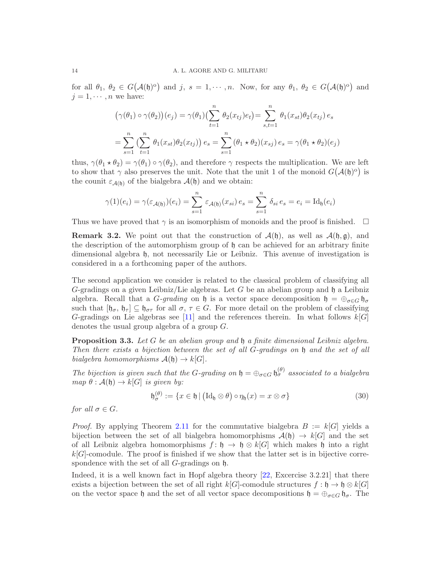for all  $\theta_1, \theta_2 \in G(\mathcal{A}(\mathfrak{h})^{\circ})$  and j,  $s = 1, \dots, n$ . Now, for any  $\theta_1, \theta_2 \in G(\mathcal{A}(\mathfrak{h})^{\circ})$  and  $j = 1, \cdots, n$  we have:

$$
(\gamma(\theta_1) \circ \gamma(\theta_2))(e_j) = \gamma(\theta_1) \left(\sum_{t=1}^n \theta_2(x_{tj})e_t\right) = \sum_{s,t=1}^n \theta_1(x_{st})\theta_2(x_{tj})e_s
$$

$$
= \sum_{s=1}^n \left(\sum_{t=1}^n \theta_1(x_{st})\theta_2(x_{tj})\right)e_s = \sum_{s=1}^n (\theta_1 \star \theta_2)(x_{sj})e_s = \gamma(\theta_1 \star \theta_2)(e_j)
$$

thus,  $\gamma(\theta_1 * \theta_2) = \gamma(\theta_1) \circ \gamma(\theta_2)$ , and therefore  $\gamma$  respects the multiplication. We are left to show that  $\gamma$  also preserves the unit. Note that the unit 1 of the monoid  $G(A(\mathfrak{h})^{\circ})$  is the counit  $\varepsilon_{\mathcal{A}(\mathfrak{h})}$  of the bialgebra  $\mathcal{A}(\mathfrak{h})$  and we obtain:

$$
\gamma(1)(e_i) = \gamma(\varepsilon_{\mathcal{A}(\mathfrak{h})})(e_i) = \sum_{s=1}^n \varepsilon_{\mathcal{A}(\mathfrak{h})}(x_{si}) e_s = \sum_{s=1}^n \delta_{si} e_s = e_i = \text{Id}_{\mathfrak{h}}(e_i)
$$

Thus we have proved that  $\gamma$  is an isomorphism of monoids and the proof is finished.  $\Box$ 

**Remark 3.2.** We point out that the construction of  $\mathcal{A}(\mathfrak{h})$ , as well as  $\mathcal{A}(\mathfrak{h}, \mathfrak{g})$ , and the description of the automorphism group of h can be achieved for an arbitrary finite dimensional algebra  $\mathfrak{h}$ , not necessarily Lie or Leibniz. This avenue of investigation is considered in a a forthcoming paper of the authors.

The second application we consider is related to the classical problem of classifying all G-gradings on a given Leibniz/Lie algebras. Let G be an abelian group and  $\mathfrak h$  a Leibniz algebra. Recall that a G-grading on h is a vector space decomposition  $h = \bigoplus_{\sigma \in G} h_{\sigma}$ such that  $[\mathfrak{h}_{\sigma}, \mathfrak{h}_{\tau}] \subseteq \mathfrak{h}_{\sigma\tau}$  for all  $\sigma, \tau \in G$ . For more detail on the problem of classifying G-gradings on Lie algebras see [\[11\]](#page-17-9) and the references therein. In what follows  $k[G]$ denotes the usual group algebra of a group G.

<span id="page-13-0"></span>**Proposition 3.3.** Let G be an abelian group and  $\mathfrak h$  a finite dimensional Leibniz algebra. Then there exists a bijection between the set of all G-gradings on h and the set of all bialgebra homomorphisms  $\mathcal{A}(\mathfrak{h}) \to k[G]$ .

The bijection is given such that the G-grading on  $\mathfrak{h} = \bigoplus_{\sigma \in G} \mathfrak{h}_{\sigma}^{(\theta)}$  associated to a bialgebra map  $\theta : \mathcal{A}(\mathfrak{h}) \to k[G]$  is given by:

$$
\mathfrak{h}_{\sigma}^{(\theta)} := \{ x \in \mathfrak{h} \mid (\mathrm{Id}_{\mathfrak{h}} \otimes \theta) \circ \eta_{\mathfrak{h}}(x) = x \otimes \sigma \} \tag{30}
$$

for all  $\sigma \in G$ .

*Proof.* By applying Theorem [2.11](#page-10-0) for the commutative bialgebra  $B := k[G]$  yields a bijection between the set of all bialgebra homomorphisms  $\mathcal{A}(\mathfrak{h}) \to k[G]$  and the set of all Leibniz algebra homomorphisms  $f: \mathfrak{h} \to \mathfrak{h} \otimes k[G]$  which makes  $\mathfrak{h}$  into a right  $k[G]$ -comodule. The proof is finished if we show that the latter set is in bijective correspondence with the set of all G-gradings on h.

Indeed, it is a well known fact in Hopf algebra theory [\[22,](#page-17-15) Excercise 3.2.21] that there exists a bijection between the set of all right  $k[G]$ -comodule structures  $f : \mathfrak{h} \to \mathfrak{h} \otimes k[G]$ on the vector space h and the set of all vector space decompositions  $\mathfrak{h} = \bigoplus_{\sigma \in G} \mathfrak{h}_{\sigma}$ . The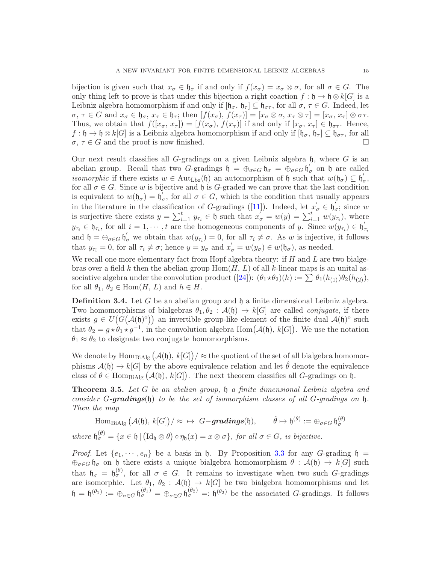bijection is given such that  $x_{\sigma} \in \mathfrak{h}_{\sigma}$  if and only if  $f(x_{\sigma}) = x_{\sigma} \otimes \sigma$ , for all  $\sigma \in G$ . The only thing left to prove is that under this bijection a right coaction  $f : \mathfrak{h} \to \mathfrak{h} \otimes k[G]$  is a Leibniz algebra homomorphism if and only if  $[\mathfrak{h}_{\sigma}, \mathfrak{h}_{\tau}] \subseteq \mathfrak{h}_{\sigma\tau}$ , for all  $\sigma, \tau \in G$ . Indeed, let  $\sigma, \tau \in G$  and  $x_{\sigma} \in \mathfrak{h}_{\sigma}, x_{\tau} \in \mathfrak{h}_{\tau}$ ; then  $[f(x_{\sigma}), f(x_{\tau})] = [x_{\sigma} \otimes \sigma, x_{\tau} \otimes \tau] = [x_{\sigma}, x_{\tau}] \otimes \sigma \tau$ . Thus, we obtain that  $f([x_{\sigma}, x_{\tau}]) = [f(x_{\sigma}), f(x_{\tau})]$  if and only if  $[x_{\sigma}, x_{\tau}] \in \mathfrak{h}_{\sigma}$ . Hence,  $f : \mathfrak{h} \to \mathfrak{h} \otimes k[G]$  is a Leibniz algebra homomorphism if and only if  $[\mathfrak{h}_{\sigma}, \mathfrak{h}_{\tau}] \subseteq \mathfrak{h}_{\sigma_{\tau}}$ , for all  $\sigma, \tau \in G$  and the proof is now finished.

Our next result classifies all G-gradings on a given Leibniz algebra  $\mathfrak{h}$ , where G is an abelian group. Recall that two G-gradings  $\mathfrak{h} = \bigoplus_{\sigma \in G} \mathfrak{h}_{\sigma} = \bigoplus_{\sigma \in G} \mathfrak{h}_{\sigma}$ σ on h are called *isomorphic* if there exists  $w \in \text{Aut}_{\text{Lbz}}(\mathfrak{h})$  an automorphism of  $\mathfrak{h}$  such that  $w(\mathfrak{h}_{\sigma}) \subseteq \mathfrak{h}'$ ,<br>σ, for all  $\sigma \in G$ . Since w is bijective and h is G-graded we can prove that the last condition is equivalent to  $w(\mathfrak{h}_{\sigma}) = \mathfrak{h}_{\sigma}^{\mathfrak{g}}$  $\sigma$ , for all  $\sigma \in G$ , which is the condition that usually appears in the literature in the classification of G-gradings ([\[11\]](#page-17-9)). Indeed, let  $x'_{\sigma} \in \mathfrak{h}'_c$  $\sigma$ ; since w is surjective there exists  $y = \sum_{i=1}^t y_{\tau_i} \in \mathfrak{h}$  such that  $x_{\sigma}^{\prime} = w(y) = \sum_{i=1}^t w(y_{\tau_i})$ , where  $y_{\tau_i} \in \mathfrak{h}_{\tau_i}$ , for all  $i = 1, \dots, t$  are the homogeneous components of y. Since  $w(y_{\tau_i}) \in \mathfrak{h}'_i$  $\tau_i$ and  $\mathfrak{h} = \bigoplus_{\sigma \in G} \mathfrak{h}'_{\sigma}$  we obtain that  $w(y_{\tau_i}) = 0$ , for all  $\tau_i \neq \sigma$ . As w is injective, it follows that  $y_{\tau_i} = 0$ , for all  $\tau_i \neq \sigma$ ; hence  $y = y_{\sigma}$  and  $x'_{\sigma} = w(y_{\sigma}) \in w(\mathfrak{h}_{\sigma})$ , as needed.

We recall one more elementary fact from Hopf algebra theory: if  $H$  and  $L$  are two bialgebras over a field k then the abelian group  $Hom(H, L)$  of all k-linear maps is an unital associative algebra under the convolution product  $([24])$  $([24])$  $([24])$ :  $(\theta_1 \star \theta_2)(h) := \sum \theta_1(h_{(1)})\theta_2(h_{(2)}),$ for all  $\theta_1, \theta_2 \in \text{Hom}(H, L)$  and  $h \in H$ .

**Definition 3.4.** Let G be an abelian group and  $\mathfrak{h}$  a finite dimensional Leibniz algebra. Two homomorphisms of bialgebras  $\theta_1, \theta_2 : \mathcal{A}(\mathfrak{h}) \to k[G]$  are called *conjugate*, if there exists  $g \in U(G(\mathcal{A}(\mathfrak{h})^{\circ}))$  an invertible group-like element of the finite dual  $\mathcal{A}(\mathfrak{h})^{\circ}$  such that  $\theta_2 = g * \theta_1 * g^{-1}$ , in the convolution algebra Hom $(A(\mathfrak{h}), k[G])$ . We use the notation  $\theta_1 \approx \theta_2$  to designate two conjugate homomorphisms.

We denote by  $\text{Hom}_{\text{Bialg}}(\mathcal{A}(\mathfrak{h}), k[G]) / \approx \text{the quotient of the set of all bialgebra homomor-}$ phisms  $\mathcal{A}(\mathfrak{h}) \to k[G]$  by the above equivalence relation and let  $\hat{\theta}$  denote the equivalence class of  $\theta \in \text{Hom}_{\text{Bialg}}(\mathcal{A}(\mathfrak{h}), k[G])$ . The next theorem classifies all G-gradings on  $\mathfrak{h}$ .

<span id="page-14-0"></span>Theorem 3.5. Let G be an abelian group, h a finite dimensional Leibniz algebra and consider G-gradings(b) to be the set of isomorphism classes of all G-gradings on  $\mathfrak h$ . Then the map

 $\mathrm{Hom}_{\mathrm{BiAlg}}\left(\mathcal{A}(\mathfrak{h}),\, k[G]\right)/\approx \ \mapsto\ G\!-\! \operatorname{\boldsymbol{gradings}}(\mathfrak{h}),\qquad \hat{\theta}\mapsto \mathfrak{h}^{(\theta)}:=\oplus_{\sigma\in G} \mathfrak{h}^{(\theta)}_\sigma$ 

where  $\mathfrak{h}_{\sigma}^{(\theta)} = \{x \in \mathfrak{h} \mid (\mathrm{Id}_{\mathfrak{h}} \otimes \theta) \circ \eta_{\mathfrak{h}}(x) = x \otimes \sigma\},\$  for all  $\sigma \in G$ , is bijective.

*Proof.* Let  $\{e_1, \dots, e_n\}$  be a basis in  $\mathfrak h$ . By Proposition [3.3](#page-13-0) for any G-grading  $\mathfrak h$  =  $\oplus_{\sigma\in G}$   $\mathfrak{h}_{\sigma}$  on  $\mathfrak{h}$  there exists a unique bialgebra homomorphism  $\theta$  :  $\mathcal{A}(\mathfrak{h}) \to k[G]$  such that  $\mathfrak{h}_{\sigma} = \mathfrak{h}_{\sigma}^{(\theta)}$ , for all  $\sigma \in G$ . It remains to investigate when two such G-gradings are isomorphic. Let  $\theta_1$ ,  $\theta_2$ :  $\mathcal{A}(\mathfrak{h}) \to k[G]$  be two bialgebra homomorphisms and let  $\mathfrak{h} = \mathfrak{h}^{(\theta_1)} := \bigoplus_{\sigma \in G} \mathfrak{h}^{(\theta_1)}_{\sigma} = \bigoplus_{\sigma \in G} \mathfrak{h}^{(\theta_2)}_{\sigma} =: \mathfrak{h}^{(\theta_2)}$  be the associated G-gradings. It follows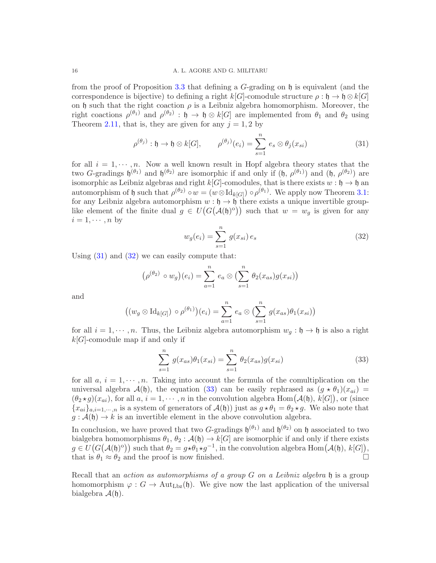from the proof of Proposition [3.3](#page-13-0) that defining a  $G$ -grading on  $\mathfrak h$  is equivalent (and the correspondence is bijective) to defining a right  $k[G]$ -comodule structure  $\rho : \mathfrak{h} \to \mathfrak{h} \otimes k[G]$ on h such that the right coaction  $\rho$  is a Leibniz algebra homomorphism. Moreover, the right coactions  $\rho^{(\theta_1)}$  and  $\rho^{(\theta_2)}$ :  $\mathfrak{h} \to \mathfrak{h} \otimes k[G]$  are implemented from  $\theta_1$  and  $\theta_2$  using Theorem [2.11,](#page-10-0) that is, they are given for any  $j = 1, 2$  by

<span id="page-15-0"></span>
$$
\rho^{(\theta_j)} : \mathfrak{h} \to \mathfrak{h} \otimes k[G], \qquad \rho^{(\theta_j)}(e_i) = \sum_{s=1}^n e_s \otimes \theta_j(x_{si}) \tag{31}
$$

for all  $i = 1, \dots, n$ . Now a well known result in Hopf algebra theory states that the two G-gradings  $\mathfrak{h}^{(\theta_1)}$  and  $\mathfrak{h}^{(\theta_2)}$  are isomorphic if and only if  $(\mathfrak{h}, \rho^{(\theta_1)})$  and  $(\mathfrak{h}, \rho^{(\theta_2)})$  are isomorphic as Leibniz algebras and right  $k[G]$ -comodules, that is there exists  $w : \mathfrak{h} \to \mathfrak{h}$  and automorphism of h such that  $\rho^{(\theta_2)} \circ w = (w \otimes \mathrm{Id}_{k[G]}) \circ \rho^{(\theta_1)}$ . We apply now Theorem [3.1:](#page-12-0) for any Leibniz algebra automorphism  $w : \mathfrak{h} \to \mathfrak{h}$  there exists a unique invertible grouplike element of the finite dual  $g \in U(G(\mathcal{A}(\mathfrak{h})^{\circ}))$  such that  $w = w_g$  is given for any  $i = 1, \cdots, n$  by

<span id="page-15-1"></span>
$$
w_g(e_i) = \sum_{s=1}^n g(x_{si}) e_s
$$
\n(32)

Using  $(31)$  and  $(32)$  we can easily compute that:

$$
(\rho^{(\theta_2)} \circ w_g)(e_i) = \sum_{a=1}^n e_a \otimes \left(\sum_{s=1}^n \theta_2(x_{as})g(x_{si})\right)
$$

and

$$
((w_g \otimes \mathrm{Id}_{k[G]}) \circ \rho^{(\theta_1)})(e_i) = \sum_{a=1}^n e_a \otimes \left(\sum_{s=1}^n g(x_{as})\theta_1(x_{si})\right)
$$

for all  $i = 1, \dots, n$ . Thus, the Leibniz algebra automorphism  $w_q : \mathfrak{h} \to \mathfrak{h}$  is also a right  $k[G]$ -comodule map if and only if

<span id="page-15-2"></span>
$$
\sum_{s=1}^{n} g(x_{as})\theta_1(x_{si}) = \sum_{s=1}^{n} \theta_2(x_{as})g(x_{si})
$$
\n(33)

for all  $a, i = 1, \dots, n$ . Taking into account the formula of the comultiplication on the universal algebra  $\mathcal{A}(\mathfrak{h})$ , the equation [\(33\)](#page-15-2) can be easily rephrased as  $(g * \theta_1)(x_{ai})$  =  $(\theta_2 \star g)(x_{ai})$ , for all  $a, i = 1, \cdots, n$  in the convolution algebra  $\text{Hom}(\mathcal{A}(\mathfrak{h}), K[G])$ , or (since  ${x_{ai}}_{a,i=1,\dots,n}$  is a system of generators of  $\mathcal{A}(\mathfrak{h})$  just as  $g \star \theta_1 = \theta_2 \star g$ . We also note that  $g: \mathcal{A}(\mathfrak{h}) \to k$  is an invertible element in the above convolution algebra.

In conclusion, we have proved that two G-gradings  $\mathfrak{h}^{(\theta_1)}$  and  $\mathfrak{h}^{(\theta_2)}$  on  $\mathfrak{h}$  associated to two bialgebra homomorphisms  $\theta_1$ ,  $\theta_2$ :  $\mathcal{A}(\mathfrak{h}) \to k[G]$  are isomorphic if and only if there exists  $g \in U(G(\mathcal{A}(\mathfrak{h})^{\circ}))$  such that  $\theta_2 = g \star \theta_1 \star g^{-1}$ , in the convolution algebra  $\text{Hom}(\mathcal{A}(\mathfrak{h}), k[G])$ , that is  $\theta_1 \approx \theta_2$  and the proof is now finished.

Recall that an *action as automorphisms of a group G on a Leibniz algebra*  $\mathfrak h$  is a group homomorphism  $\varphi: G \to \text{Aut}_{\text{Lbz}}(\mathfrak{h})$ . We give now the last application of the universal bialgebra  $\mathcal{A}(\mathfrak{h})$ .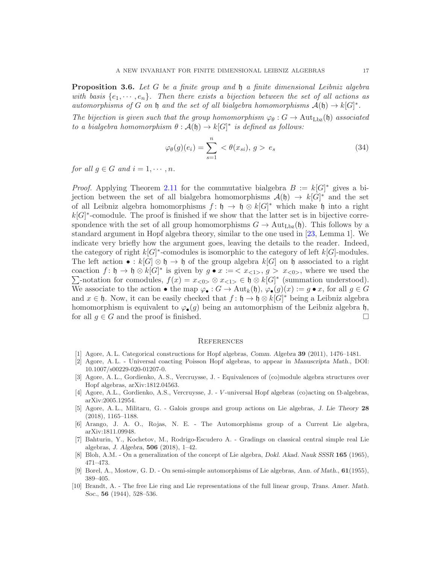<span id="page-16-8"></span>**Proposition 3.6.** Let G be a finite group and  $\mathfrak{h}$  a finite dimensional Leibniz algebra with basis  $\{e_1, \dots, e_n\}$ . Then there exists a bijection between the set of all actions as automorphisms of G on h and the set of all bialgebra homomorphisms  $\mathcal{A}(\mathfrak{h}) \to k[G]^*$ .

The bijection is given such that the group homomorphism  $\varphi_{\theta}: G \to \text{Aut}_{\text{Lbz}}(\mathfrak{h})$  associated to a bialgebra homomorphism  $\theta : \mathcal{A}(\mathfrak{h}) \to k[G]^*$  is defined as follows:

$$
\varphi_{\theta}(g)(e_i) = \sum_{s=1}^{n} \langle \theta(x_{si}), g \rangle e_s \tag{34}
$$

for all  $q \in G$  and  $i = 1, \dots, n$ .

*Proof.* Applying Theorem [2.11](#page-10-0) for the commutative bialgebra  $B := k[G]^*$  gives a bijection between the set of all bialgebra homomorphisms  $\mathcal{A}(\mathfrak{h}) \to k[\tilde{G}]^*$  and the set of all Leibniz algebra homomorphisms  $f: \mathfrak{h} \to \mathfrak{h} \otimes k[G]^*$  which make  $\mathfrak{h}$  into a right  $k[G]^*$ -comodule. The proof is finished if we show that the latter set is in bijective correspondence with the set of all group homomorphisms  $G \to \text{Aut}_{\text{Lbz}}(\mathfrak{h})$ . This follows by a standard argument in Hopf algebra theory, similar to the one used in [\[23,](#page-17-16) Lemma 1]. We indicate very briefly how the argument goes, leaving the details to the reader. Indeed, the category of right  $k[G]^*$ -comodules is isomorphic to the category of left  $k[G]$ -modules. The left action • :  $k[G] \otimes \mathfrak{h} \to \mathfrak{h}$  of the group algebra  $k[G]$  on  $\mathfrak{h}$  associated to a right coaction  $f: \mathfrak{h} \to \mathfrak{h} \otimes k[G]^*$  is given by  $g \bullet x := \langle x_{\langle 1 \rangle}, g \rangle x_{\langle 0 \rangle}$ , where we used the  $\sum$ -notation for comodules,  $f(x) = x_{\langle 0 \rangle} \otimes x_{\langle 1 \rangle} \in \mathfrak{h} \otimes k[G]^*$  (summation understood). We associate to the action • the map  $\varphi_{\bullet}: G \to \text{Aut}_k(\mathfrak{h}), \varphi_{\bullet}(g)(x) := g \bullet x$ , for all  $g \in G$ and  $x \in \mathfrak{h}$ . Now, it can be easily checked that  $f: \mathfrak{h} \to \mathfrak{h} \otimes k[G]^*$  being a Leibniz algebra homomorphism is equivalent to  $\varphi_{\bullet}(g)$  being an automorphism of the Leibniz algebra h, for all  $g \in G$  and the proof is finished.

#### **REFERENCES**

- <span id="page-16-1"></span><span id="page-16-0"></span>[1] Agore, A. L. Categorical constructions for Hopf algebras, Comm. Algebra 39 (2011), 1476–1481.
- [2] Agore, A. L. Universal coacting Poisson Hopf algebras, to appear in Manuscripta Math., DOI: 10.1007/s00229-020-01207-0.
- <span id="page-16-2"></span>[3] Agore, A. L., Gordienko, A. S., Vercruysse, J. - Equivalences of (co)module algebra structures over Hopf algebras, arXiv:1812.04563.
- <span id="page-16-6"></span><span id="page-16-3"></span>[4] Agore, A.L., Gordienko, A.S., Vercruysse, J. - V-universal Hopf algebras (co)acting on  $\Omega$ -algebras, arXiv:2005.12954.
- [5] Agore, A. L., Militaru, G. Galois groups and group actions on Lie algebras, J. Lie Theory 28 (2018), 1165–1188.
- <span id="page-16-9"></span><span id="page-16-7"></span>[6] Arango, J. A. O., Rojas, N. E. - The Automorphisms group of a Current Lie algebra, arXiv:1811.09948.
- [7] Bahturin, Y., Kochetov, M., Rodrigo-Escudero A. Gradings on classical central simple real Lie algebras, J. Algebra, 506 (2018), 1–42.
- <span id="page-16-5"></span><span id="page-16-4"></span>[8] Bloh, A.M. - On a generalization of the concept of Lie algebra, Dokl. Akad. Nauk SSSR 165 (1965), 471–473.
- <span id="page-16-10"></span>[9] Borel, A., Mostow, G. D. - On semi-simple automorphisms of Lie algebras, Ann. of Math., 61(1955), 389–405.
- [10] Brandt, A. The free Lie ring and Lie representations of the full linear group, Trans. Amer. Math. Soc., **56** (1944), 528–536.